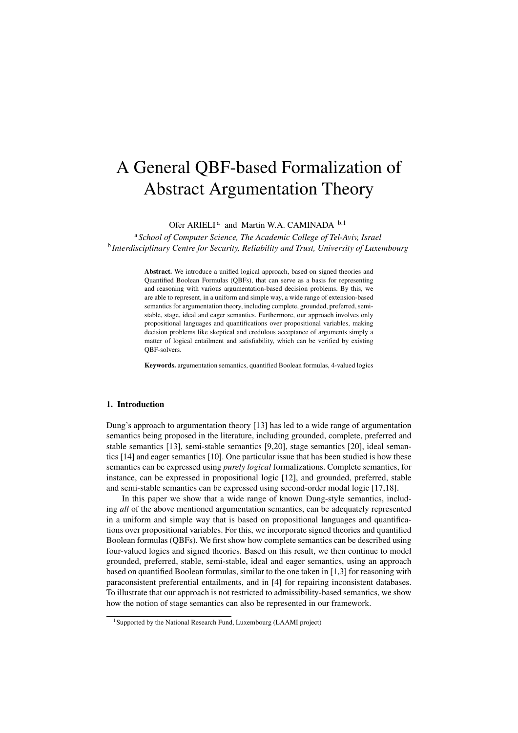# A General QBF-based Formalization of Abstract Argumentation Theory

Ofer ARIELI<sup>a</sup> and Martin W.A. CAMINADA<sup>b,1</sup>

<sup>a</sup> *School of Computer Science, The Academic College of Tel-Aviv, Israel* b *Interdisciplinary Centre for Security, Reliability and Trust, University of Luxembourg*

> Abstract. We introduce a unified logical approach, based on signed theories and Quantified Boolean Formulas (QBFs), that can serve as a basis for representing and reasoning with various argumentation-based decision problems. By this, we are able to represent, in a uniform and simple way, a wide range of extension-based semantics for argumentation theory, including complete, grounded, preferred, semistable, stage, ideal and eager semantics. Furthermore, our approach involves only propositional languages and quantifications over propositional variables, making decision problems like skeptical and credulous acceptance of arguments simply a matter of logical entailment and satisfiability, which can be verified by existing QBF-solvers.

> Keywords. argumentation semantics, quantified Boolean formulas, 4-valued logics

## 1. Introduction

Dung's approach to argumentation theory [13] has led to a wide range of argumentation semantics being proposed in the literature, including grounded, complete, preferred and stable semantics [13], semi-stable semantics [9,20], stage semantics [20], ideal semantics [14] and eager semantics [10]. One particular issue that has been studied is how these semantics can be expressed using *purely logical* formalizations. Complete semantics, for instance, can be expressed in propositional logic [12], and grounded, preferred, stable and semi-stable semantics can be expressed using second-order modal logic [17,18].

In this paper we show that a wide range of known Dung-style semantics, including *all* of the above mentioned argumentation semantics, can be adequately represented in a uniform and simple way that is based on propositional languages and quantifications over propositional variables. For this, we incorporate signed theories and quantified Boolean formulas (QBFs). We first show how complete semantics can be described using four-valued logics and signed theories. Based on this result, we then continue to model grounded, preferred, stable, semi-stable, ideal and eager semantics, using an approach based on quantified Boolean formulas, similar to the one taken in [1,3] for reasoning with paraconsistent preferential entailments, and in [4] for repairing inconsistent databases. To illustrate that our approach is not restricted to admissibility-based semantics, we show how the notion of stage semantics can also be represented in our framework.

<sup>&</sup>lt;sup>1</sup>Supported by the National Research Fund, Luxembourg (LAAMI project)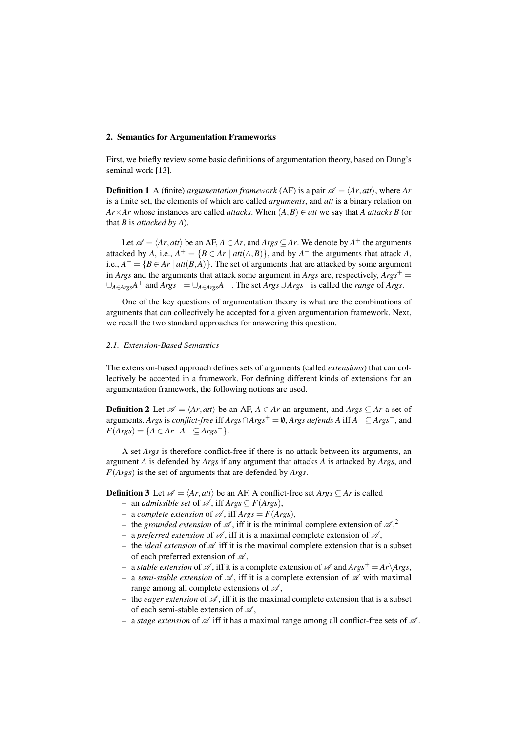## 2. Semantics for Argumentation Frameworks

First, we briefly review some basic definitions of argumentation theory, based on Dung's seminal work [13].

**Definition 1** A (finite) *argumentation framework* (AF) is a pair  $\mathscr{A} = \langle Ar, att \rangle$ , where Ar is a finite set, the elements of which are called *arguments*, and *att* is a binary relation on *Ar* $\times$ *Ar* whose instances are called *attacks*. When  $(A, B) \in$  *att* we say that *A attacks B* (or that *B* is *attacked by A*).

Let  $\mathscr{A} = \langle Ar, att \rangle$  be an AF,  $A \in Ar$ , and  $Args \subseteq Ar$ . We denote by  $A^+$  the arguments attacked by *A*, i.e.,  $A^+ = {B \in Ar \mid \text{att}(A,B)}$ , and by  $A^-$  the arguments that attack *A*, *i.e.,*  $A^- = {B \in Ar | \textit{att}(B,A)}$ . The set of arguments that are attacked by some argument in *Args* and the arguments that attack some argument in *Args* are, respectively,  $Args^+$  = *∪A∈ArgsA* <sup>+</sup> and *Args<sup>−</sup>* = *∪A∈ArgsA <sup>−</sup>* . The set *Args∪Args*<sup>+</sup> is called the *range* of *Args*.

One of the key questions of argumentation theory is what are the combinations of arguments that can collectively be accepted for a given argumentation framework. Next, we recall the two standard approaches for answering this question.

### *2.1. Extension-Based Semantics*

The extension-based approach defines sets of arguments (called *extensions*) that can collectively be accepted in a framework. For defining different kinds of extensions for an argumentation framework, the following notions are used.

**Definition 2** Let  $\mathscr{A} = \langle Ar, att \rangle$  be an AF,  $A \in Ar$  an argument, and  $Args \subseteq Ar$  a set of arguments. *Args* is *conflict-free* iff *Args∩Args*<sup>+</sup> = /0, *Args defends A* iff *A <sup>−</sup> ⊆ Args*+, and  $F(Args) = \{A \in Ar \mid A^{-} \subseteq Args^{+}\}.$ 

A set *Args* is therefore conflict-free if there is no attack between its arguments, an argument *A* is defended by *Args* if any argument that attacks *A* is attacked by *Args*, and *F*(*Args*) is the set of arguments that are defended by *Args*.

**Definition 3** Let  $\mathscr{A} = \langle Ar, att \rangle$  be an AF. A conflict-free set  $Args \subseteq Ar$  is called

- an *admissible set* of *A* , iff *Args ⊆ F*(*Args*),
- a *complete extension* of  $\mathscr A$ , iff  $\text{A} \text{rgs} = F(\text{A} \text{rgs})$ ,
- the *grounded extension* of  $\mathscr A$ , iff it is the minimal complete extension of  $\mathscr A$ ,<sup>2</sup>
- a *preferred extension* of  $\mathscr A$ , iff it is a maximal complete extension of  $\mathscr A$ ,
- the *ideal extension* of  $\mathscr A$  iff it is the maximal complete extension that is a subset of each preferred extension of *A* ,
- $-$  a *stable extension* of  $\mathscr A$ , iff it is a complete extension of  $\mathscr A$  and  $Args^+ = Ar\Args$ ,
- a *semi-stable extension* of *A* , iff it is a complete extension of *A* with maximal range among all complete extensions of  $\mathscr A$ ,
- the *eager extension* of  $\mathscr A$ , iff it is the maximal complete extension that is a subset of each semi-stable extension of *A* ,
- a *stage extension* of  $\mathscr A$  iff it has a maximal range among all conflict-free sets of  $\mathscr A$ .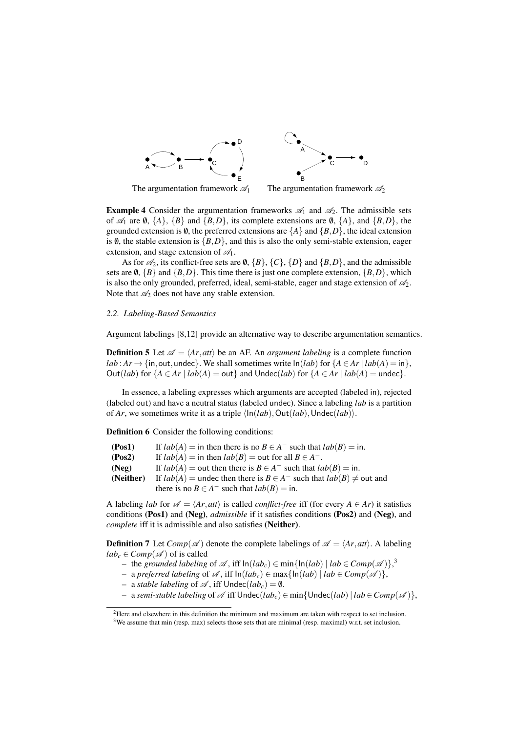

The argumentation framework  $\mathscr{A}_1$  The argumentation framework  $\mathscr{A}_2$ 

**Example 4** Consider the argumentation frameworks  $\mathscr{A}_1$  and  $\mathscr{A}_2$ . The admissible sets of  $\mathscr{A}_1$  are  $\emptyset$ ,  $\{A\}$ ,  $\{B\}$  and  $\{B,D\}$ , its complete extensions are  $\emptyset$ ,  $\{A\}$ , and  $\{B,D\}$ , the grounded extension is  $\emptyset$ , the preferred extensions are  $\{A\}$  and  $\{B, D\}$ , the ideal extension is  $\emptyset$ , the stable extension is  $\{B, D\}$ , and this is also the only semi-stable extension, eager

extension, and stage extension of *A*1. As for  $\mathcal{A}_2$ , its conflict-free sets are  $\emptyset$ ,  $\{B\}$ ,  $\{C\}$ ,  $\{D\}$  and  $\{B, D\}$ , and the admissible sets are  $\emptyset$ ,  $\{B\}$  and  $\{B,D\}$ . This time there is just one complete extension,  $\{B,D\}$ , which is also the only grounded, preferred, ideal, semi-stable, eager and stage extension of *A*2. Note that  $\mathcal{A}_2$  does not have any stable extension.

#### *2.2. Labeling-Based Semantics*

Argument labelings [8,12] provide an alternative way to describe argumentation semantics.

**Definition 5** Let  $\mathscr{A} = \langle Ar, att \rangle$  be an AF. An *argument labeling* is a complete function *lab* :  $Ar \rightarrow \{in, out, under}$ }. We shall sometimes write  $ln(lab)$  for  ${A \in Ar \mid lab(A) = in}$ }. Out(*lab*) for  ${A \in Ar \mid lab(A) = out}$  and  $Under(lab)$  for  ${A \in Ar \mid lab(A) = undec}$ .

In essence, a labeling expresses which arguments are accepted (labeled in), rejected (labeled out) and have a neutral status (labeled undec). Since a labeling *lab* is a partition of *Ar*, we sometimes write it as a triple *⟨*In(*lab*)*,*Out(*lab*)*,*Undec(*lab*)*⟩*.

Definition 6 Consider the following conditions:

| (Pos1)    | If $lab(A) =$ in then there is no $B \in A^-$ such that $lab(B) =$ in.        |
|-----------|-------------------------------------------------------------------------------|
| (Pos2)    | If $lab(A) =$ in then $lab(B) =$ out for all $B \in A^-$ .                    |
| (Neg)     | If $lab(A) =$ out then there is $B \in A^-$ such that $lab(B) =$ in.          |
| (Neither) | If $lab(A)$ = undec then there is $B \in A^-$ such that $lab(B) \neq$ out and |
|           | there is no $B \in A^-$ such that $lab(B) = \text{in.}$                       |

A labeling *lab* for  $\mathscr{A} = \langle Ar, att \rangle$  is called *conflict-free* iff (for every  $A \in Ar$ ) it satisfies conditions (Pos1) and (Neg), *admissible* if it satisfies conditions (Pos2) and (Neg), and *complete* iff it is admissible and also satisfies (Neither).

**Definition** 7 Let  $Comp(\mathcal{A})$  denote the complete labelings of  $\mathcal{A} = \langle Ar, att \rangle$ . A labeling  $lab_c \in Comp(\mathscr{A})$  of is called

- $-$  the *grounded labeling* of  $\mathscr A$ , iff  $\ln(lab_c) \in \min\{\ln(lab) \mid lab \in Comp(\mathscr A)\}\right\}$
- a *preferred labeling* of *A* , iff In(*labc*) *∈* max*{*In(*lab*) *| lab ∈ Comp*(*A* )*}*,
- a *stable labeling* of  $\mathcal{A}$ , iff  $\nabla$ **ndec**(*lab<sub>c</sub>*) = 0.
- a *semi-stable labeling* of *A* iff Undec(*labc*)*∈* min*{*Undec(*lab*)*| lab ∈Comp*(*A* )*}*,

<sup>2</sup>Here and elsewhere in this definition the minimum and maximum are taken with respect to set inclusion.

<sup>&</sup>lt;sup>3</sup>We assume that min (resp. max) selects those sets that are minimal (resp. maximal) w.r.t. set inclusion.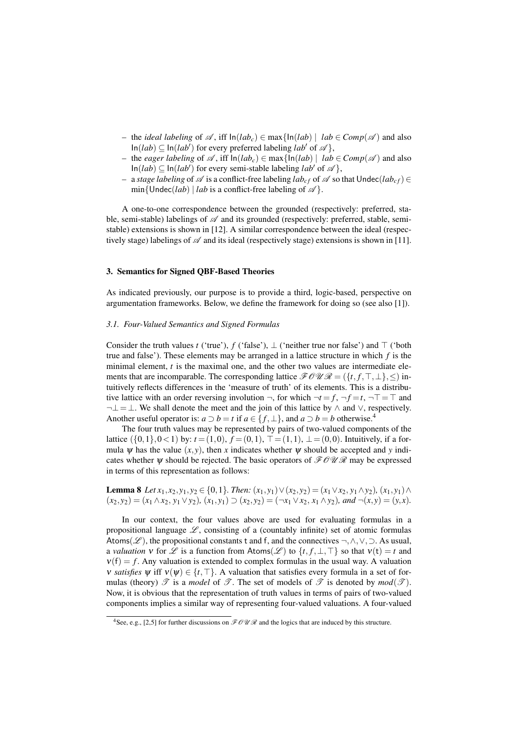- the *ideal labeling* of *A* , iff In(*labc*) *∈* max*{*In(*lab*) *| lab ∈ Comp*(*A* ) and also  $\text{In}(lab) \subseteq \text{In}(lab')$  for every preferred labeling *lab<sup>†</sup>* of *A*<sup> $\}$ </sup>,
- the *eager labeling* of *A* , iff In(*labc*) *∈* max*{*In(*lab*) *| lab ∈ Comp*(*A* ) and also  $\text{In}(lab) \subseteq \text{In}(lab')$  for every semi-stable labeling *lab<sup><i>'*</sup></sup> of *A*<sup> $\}$ </sup>,
- $-$  a *stage labeling* of  $\mathscr A$  is a conflict-free labeling *lab<sub>cf</sub>* of  $\mathscr A$  so that Undec(*lab<sub>cf</sub>*) ∈  $min\{Under(lab) | lab is a conflict-free labeling of  $\mathcal{A}\}$ .$

A one-to-one correspondence between the grounded (respectively: preferred, stable, semi-stable) labelings of *A* and its grounded (respectively: preferred, stable, semistable) extensions is shown in [12]. A similar correspondence between the ideal (respectively stage) labelings of *A* and its ideal (respectively stage) extensions is shown in [11].

# 3. Semantics for Signed QBF-Based Theories

As indicated previously, our purpose is to provide a third, logic-based, perspective on argumentation frameworks. Below, we define the framework for doing so (see also [1]).

#### *3.1. Four-Valued Semantics and Signed Formulas*

Consider the truth values *t* ('true'), *f* ('false'), *⊥* ('neither true nor false') and *⊤* ('both true and false'). These elements may be arranged in a lattice structure in which *f* is the minimal element,  $t$  is the maximal one, and the other two values are intermediate elements that are incomparable. The corresponding lattice  $\mathcal{F} \mathcal{O} \mathcal{U} \mathcal{R} = (\{t, f, \top, \bot\}, \leq)$  intuitively reflects differences in the 'measure of truth' of its elements. This is a distributive lattice with an order reversing involution  $\neg$ , for which  $\neg t = f$ ,  $\neg f = t$ ,  $\neg T = T$  and *¬⊥*=*⊥*. We shall denote the meet and the join of this lattice by *∧* and *∨*, respectively. Another useful operator is:  $a \supset b = t$  if  $a \in \{f, \perp\}$ , and  $a \supset b = b$  otherwise.<sup>4</sup>

The four truth values may be represented by pairs of two-valued components of the lattice ({0,1}<sup>*,*</sup> 0 < 1) by: *t* = (1*,*0)*, f* = (0*,*1)*, ⊤* = (1*,*1)*, ⊥* = (0*,*0). Intuitively, if a formula  $\psi$  has the value  $(x, y)$ , then *x* indicates whether  $\psi$  should be accepted and *y* indicates whether  $\psi$  should be rejected. The basic operators of  $\mathcal{F} \mathcal{O} \mathcal{U} \mathcal{R}$  may be expressed in terms of this representation as follows:

**Lemma 8** Let  $x_1, x_2, y_1, y_2 \in \{0, 1\}$ . Then:  $(x_1, y_1) \vee (x_2, y_2) = (x_1 \vee x_2, y_1 \wedge y_2), (x_1, y_1) \wedge (x_2, y_2)$  $(x_2, y_2) = (x_1 \wedge x_2, y_1 \vee y_2), (x_1, y_1) \supset (x_2, y_2) = (\neg x_1 \vee x_2, x_1 \wedge y_2),$  and  $\neg(x, y) = (y, x).$ 

In our context, the four values above are used for evaluating formulas in a propositional language  $\mathscr{L}$ , consisting of a (countably infinite) set of atomic formulas Atoms(*L* ), the propositional constants t and f, and the connectives *¬,∧,∨,⊃*. As usual, a *valuation*  $v$  for  $\mathscr L$  is a function from Atoms( $\mathscr L$ ) to  $\{t, f, \bot, \top\}$  so that  $v(t) = t$  and  $v(f) = f$ . Any valuation is extended to complex formulas in the usual way. A valuation *v satisfies*  $\psi$  iff  $\nu(\psi) \in \{t, \top\}$ . A valuation that satisfies every formula in a set of formulas (theory)  $\mathscr T$  is a *model* of  $\mathscr T$ . The set of models of  $\mathscr T$  is denoted by  $mod(\mathscr T)$ . Now, it is obvious that the representation of truth values in terms of pairs of two-valued components implies a similar way of representing four-valued valuations. A four-valued

<sup>&</sup>lt;sup>4</sup>See, e.g., [2,5] for further discussions on  $\mathcal{FOUR}$  and the logics that are induced by this structure.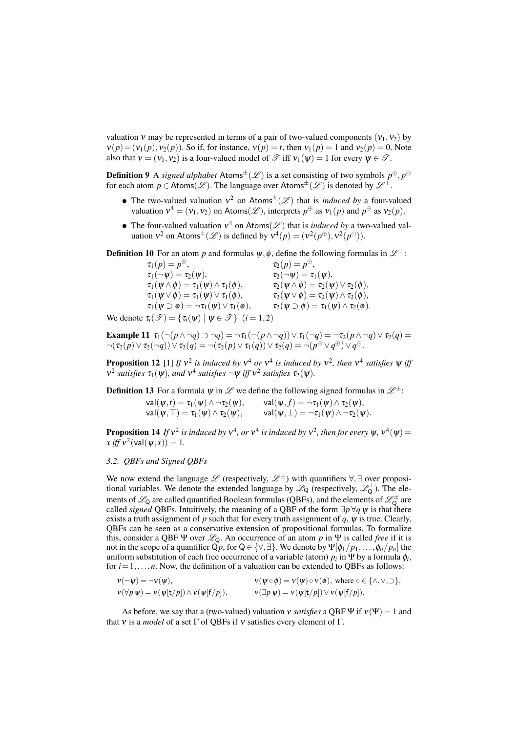valuation  $v$  may be represented in terms of a pair of two-valued components  $(v_1, v_2)$  by  $v(p) = (v_1(p), v_2(p))$ . So if, for instance,  $v(p) = t$ , then  $v_1(p) = 1$  and  $v_2(p) = 0$ . Note also that  $v = (v_1, v_2)$  is a four-valued model of  $\mathcal{T}$  iff  $v_1(w) = 1$  for every  $w \in \mathcal{T}$ .

**Definition 9** A *signed alphabet* Atoms<sup> $\pm$ </sup>( $\mathscr L$ ) is a set consisting of two symbols  $p^{\oplus}, p^{\ominus}$ for each atom  $p \in$  Atoms( $\mathscr{L}$ ). The language over Atoms<sup> $\pm$ </sup>( $\mathscr{L}$ ) is denoted by  $\mathscr{L}^{\pm}$ .

- The two-valued valuation  $v^2$  on Atoms<sup> $\pm$ </sup>(*L*) that is *induced by* a four-valued valuation  $v^4 = (v_1, v_2)$  on Atoms( $\mathscr{L}$ ), interprets  $p^{\oplus}$  as  $v_1(p)$  and  $p^{\ominus}$  as  $v_2(p)$ .
- The four-valued valuation  $v^4$  on Atoms(*L*) that is *induced by* a two-valued valuation  $v^2$  on Atoms<sup> $\pm$ </sup>( $\mathscr{L}$ ) is defined by  $v^4(p) = (v^2(p^{\oplus}), v^2(p^{\ominus})).$

**Definition 10** For an atom *p* and formulas  $\psi$ ,  $\phi$ , define the following formulas in  $\mathcal{L}^{\pm}$ :

 $\tau_1(p) = p^{\oplus}$ ,  $\tau_2(p) = p^{\ominus},$  $\tau_1(\neg \psi) = \tau_2(\psi),$ <br>  $\tau_1(\psi \wedge \phi) = \tau_1(\psi) \wedge \tau_1(\phi),$ <br>  $\tau_2(\psi \wedge \phi) = \tau_2(\psi) \vee \tau_2(\phi),$  $\tau_1(\psi\wedge\phi)=\tau_1(\psi)\wedge\tau_1(\phi), \qquad\qquad \tau_2(\psi\wedge\phi)=\tau_2(\psi)\vee\tau_2(\phi),$  $\tau_1(\psi \vee \phi) = \tau_1(\psi) \vee \tau_1(\phi), \qquad \qquad \tau_2(\psi \vee \phi) = \tau_2(\psi) \wedge \tau_2(\phi),$  $\tau_1(\psi \supset \phi) = \neg \tau_1(\psi) \vee \tau_1(\phi), \qquad \tau_2(\psi \supset \phi) = \tau_1(\psi) \wedge \tau_2(\phi).$ 

We denote  $\tau_i(\mathcal{F}) = {\tau_i(\psi) | \psi \in \mathcal{F}} (i = 1, 2)$ 

Example 11  $\tau_1(\neg(p \land \neg q) \supset \neg q) = \neg \tau_1(\neg(p \land \neg q)) \lor \tau_1(\neg q) = \neg \tau_2(p \land \neg q) \lor \tau_2(q) =$  $\neg(\tau_2(p)\vee\tau_2(\neg q))\vee\tau_2(q)=\neg(\tau_2(p)\vee\tau_1(q))\vee\tau_2(q)=\neg(p^\ominus\vee q^\oplus)\vee q^\ominus.$ 

**Proposition 12** [1] *If*  $v^2$  *is induced by*  $v^4$  *or*  $v^4$  *is induced by*  $v^2$ *, then*  $v^4$  *satisfies*  $\psi$  *iff*  $v^2$  satisfies  $\tau_1(\psi)$ , and  $v^4$  satisfies  $\neg \psi$  *iff*  $v^2$  satisfies  $\tau_2(\psi)$ .

**Definition 13** For a formula  $\psi$  in  $\mathscr L$  we define the following signed formulas in  $\mathscr L^{\pm}$ :

 $\mathsf{val}(\pmb{\psi},t) = \pmb{\tau}_1(\pmb{\psi}) \wedge \neg \pmb{\tau}_2(\pmb{\psi}), \qquad \mathsf{val}(\pmb{\psi},f) = \neg \pmb{\tau}_1(\pmb{\psi}) \wedge \pmb{\tau}_2(\pmb{\psi}),$  $\mathsf{val}(\pmb{\psi},\top) = \tau_1(\pmb{\psi}) \land \tau_2(\pmb{\psi}), \qquad \mathsf{val}(\pmb{\psi},\bot) = \neg \tau_1(\pmb{\psi}) \land \neg \tau_2(\pmb{\psi}).$ 

**Proposition 14** If  $v^2$  is induced by  $v^4$ , or  $v^4$  is induced by  $v^2$ , then for every  $\psi$ ,  $v^4(\psi)$  =  $x \text{ iff } v^2(\text{val}(\psi, x)) = 1.$ 

# *3.2. QBFs and Signed QBFs*

We now extend the language  $\mathscr L$  (respectively,  $\mathscr L^{\pm}$ ) with quantifiers  $\forall$ ,  $\exists$  over propositional variables. We denote the extended language by  $\mathscr{L}_{Q}$  (respectively,  $\mathscr{L}_{Q}^{\pm}$ ). The elements of  $\mathscr{L}_Q$  are called quantified Boolean formulas (QBFs), and the elements of  $\mathscr{L}^\pm_Q$  are called *signed* QBFs. Intuitively, the meaning of a QBF of the form  $\exists p \forall q \psi$  is that there exists a truth assignment of *p* such that for every truth assignment of  $\dot{q}$ ,  $\dot{\psi}$  is true. Clearly, QBFs can be seen as a conservative extension of propositional formulas. To formalize this, consider a QBF  $\Psi$  over  $\mathcal{L}_0$ . An occurrence of an atom p in  $\Psi$  is called *free* if it is not in the scope of a quantifier  $Q_p$ , for  $Q \in \{\forall, \exists\}$ . We denote by  $\Psi[\phi_1/p_1, \ldots, \phi_n/p_n]$  the uniform substitution of each free occurrence of a variable (atom)  $p_i$  in  $\Psi$  by a formula  $\phi_i$ , for  $i = 1, \ldots, n$ . Now, the definition of a valuation can be extended to QBFs as follows:

$$
\begin{aligned}\n\mathbf{v}(\neg \psi) &= \neg \mathbf{v}(\psi), & \mathbf{v}(\psi \circ \phi) &= \mathbf{v}(\psi) \circ \mathbf{v}(\phi), \text{ where } \circ \in \{\land, \lor, \supset\}, \\
\mathbf{v}(\forall p \ \psi) &= \mathbf{v}(\psi[\mathbf{t}/p]) \land \mathbf{v}(\psi[\mathbf{f}/p]), & \mathbf{v}(\exists p \ \psi) &= \mathbf{v}(\psi[\mathbf{t}/p]) \lor \mathbf{v}(\psi[\mathbf{f}/p]).\n\end{aligned}
$$

As before, we say that a (two-valued) valuation *v satisfies* a QBF  $\Psi$  if  $v(\Psi) = 1$  and that *ν* is a *model* of a set  $\Gamma$  of QBFs if *ν* satisfies every element of  $\Gamma$ .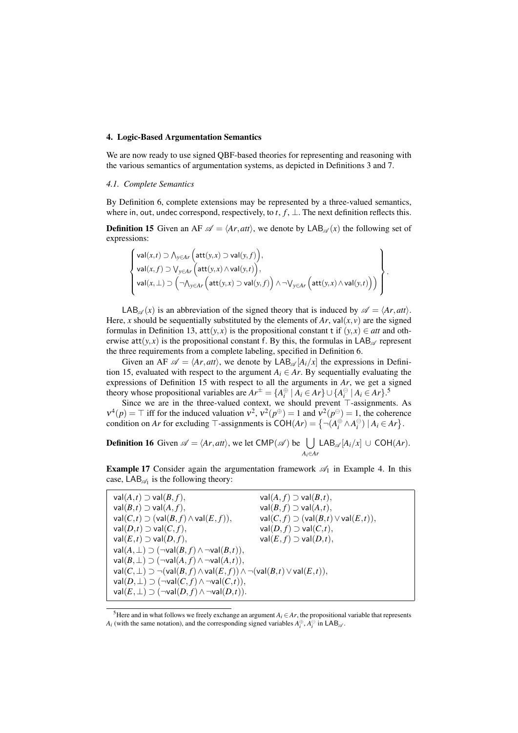## 4. Logic-Based Argumentation Semantics

We are now ready to use signed QBF-based theories for representing and reasoning with the various semantics of argumentation systems, as depicted in Definitions 3 and 7.

## *4.1. Complete Semantics*

By Definition 6, complete extensions may be represented by a three-valued semantics, where in, out, undec correspond, respectively, to  $t$ ,  $f$ ,  $\perp$ . The next definition reflects this.

**Definition 15** Given an AF  $\mathscr{A} = \langle Ar, att \rangle$ , we denote by  $\mathsf{LAB}_{\mathscr{A}}(x)$  the following set of expressions:

$$
\left\{\begin{aligned}&\mathrm{val}(x,t)\supset\bigwedge_{y\in Ar}\Big(\mathrm{att}(y,x)\supset\mathrm{val}(y,f)\Big),\\&\mathrm{val}(x,f)\supset\bigvee_{y\in Ar}\Big(\mathrm{att}(y,x)\wedge\mathrm{val}(y,t)\Big),\\&\mathrm{val}(x,\bot)\supset\Big(\neg\bigwedge_{y\in Ar}\Big(\mathrm{att}(y,x)\supset\mathrm{val}(y,f)\Big)\wedge\neg\bigvee_{y\in Ar}\Big(\mathrm{att}(y,x)\wedge\mathrm{val}(y,t)\Big)\Big)\end{aligned}\right\}
$$

*.*

LAB<sub> $\alpha$ </sub> $(x)$  is an abbreviation of the signed theory that is induced by  $\mathscr{A} = \langle Ar, att \rangle$ . Here, *x* should be sequentially substituted by the elements of *Ar*, val $(x, y)$  are the signed formulas in Definition 13, att $(y, x)$  is the propositional constant t if  $(y, x) \in$  *att* and otherwise  $\text{att}(y, x)$  is the propositional constant f. By this, the formulas in LAB<sub> $\alpha$ </sub> represent the three requirements from a complete labeling, specified in Definition 6.

Given an AF  $\mathscr{A} = \langle Ar, att \rangle$ , we denote by  $LAB_{\mathscr{A}}[A_i/x]$  the expressions in Definition 15, evaluated with respect to the argument  $A_i \in Ar$ . By sequentially evaluating the expressions of Definition 15 with respect to all the arguments in *Ar*, we get a signed theory whose propositional variables are  $Ar^{\pm} = \{A_i^{\oplus} \mid A_i \in Ar\} \cup \{A_i^{\ominus} \mid A_i \in Ar\}$ .<sup>5</sup>

Since we are in the three-valued context, we should prevent *⊤*-assignments. As  $v^4(p) = \top$  iff for the induced valuation  $v^2$ ,  $v^2(p^{\oplus}) = 1$  and  $v^2(p^{\ominus}) = 1$ , the coherence condition on *Ar* for excluding  $\top$ -assignments is  $COH(Ar) = \{ \neg (A_i^{\oplus} \land A_i^{\ominus}) \mid A_i \in Ar \}.$ 

**Definition 16** Given  $\mathscr{A} = \langle Ar, att \rangle$ , we let CMP( $\mathscr{A}$ ) be  $\Box$ *Ai∈Ar*  $LAB_{\mathscr{A}}[A_i/x]$  ∪ COH( $Ar$ ).

**Example 17** Consider again the argumentation framework  $\mathcal{A}_1$  in Example 4. In this case,  $LAB_{\mathscr{A}_1}$  is the following theory:

| $val(A,t) \supset val(B,f),$                                                                      | $val(A, f) \supset val(B,t),$                 |
|---------------------------------------------------------------------------------------------------|-----------------------------------------------|
| $val(B,t) \supset val(A,f),$                                                                      | $val(B, f) \supset val(A,t),$                 |
| $val(C,t) \supset (val(B,f) \wedge val(E,f)),$                                                    | $val(C, f) \supset (val(B,t) \vee val(E,t)),$ |
| $val(D,t) \supset val(C,f),$                                                                      | $val(D, f) \supset val(C,t),$                 |
| $val(E,t) \supset val(D,f),$                                                                      | $val(E, f) \supset val(D,t),$                 |
| $val(A, \perp) \supset (\neg val(B, f) \wedge \neg val(B, t)),$                                   |                                               |
| $val(B, \perp) \supset (\neg val(A, f) \wedge \neg val(A, t)),$                                   |                                               |
| $val(C, \perp) \supset \neg (val(B, f) \wedge val(E, f)) \wedge \neg (val(B, t) \vee val(E, t)),$ |                                               |
| $val(D, \perp) \supset (\neg val(C, f) \wedge \neg val(C, t)),$                                   |                                               |
| $val(E, \perp) \supset (\neg val(D, f) \wedge \neg val(D, t)).$                                   |                                               |

<sup>&</sup>lt;sup>5</sup>Here and in what follows we freely exchange an argument  $A_i \in Ar$ , the propositional variable that represents *A*<sub>*i*</sub> (with the same notation), and the corresponding signed variables  $A_i^{\oplus}$ ,  $A_i^{\ominus}$  in LAB<sub>*A*</sub>.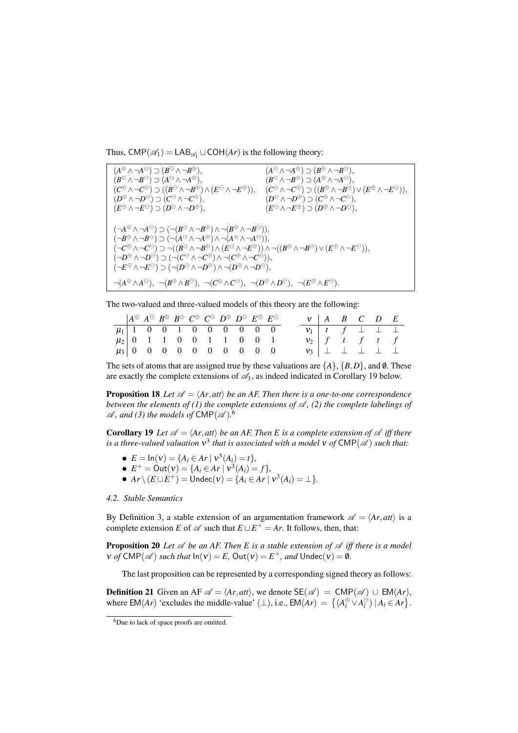Thus,  $\text{CMP}(\mathscr{A}_1) = \text{LAB}_{\mathscr{A}_1} \cup \text{COH}(Ar)$  is the following theory:

 $(A^{\oplus} \wedge \neg A^{\ominus}) \supset (B^{\ominus} \wedge \neg B^{\oplus}),$  (*A <sup>⊖</sup> ∧ ¬A <sup>⊕</sup>*) *⊃* (*B <sup>⊕</sup> ∧ ¬B <sup>⊖</sup>*)*,* (*B <sup>⊕</sup> ∧ ¬B <sup>⊖</sup>*) *⊃* (*A <sup>⊖</sup> ∧ ¬A <sup>⊕</sup>*)*,* (*B <sup>⊖</sup> ∧ ¬B <sup>⊕</sup>*) *⊃* (*A <sup>⊕</sup> ∧ ¬A <sup>⊖</sup>*)*,* (*C <sup>⊕</sup> ∧ ¬C <sup>⊖</sup>*) *⊃* ((*B <sup>⊖</sup> ∧ ¬B <sup>⊕</sup>*)*∧*(*E <sup>⊖</sup> ∧ ¬E*  $(\theta^{\oplus})$ )*,*  $(C^{\ominus} \land \neg C^{\oplus}) \supset ((B^{\oplus} \land \neg B^{\ominus}) \lor (E^{\oplus} \land \neg E^{\ominus})),$  $(D^{\oplus} \land \neg D^{\ominus}) \supset (C^{\ominus} \land \neg C^{\oplus}),$  (*D <sup>⊖</sup> ∧ ¬D <sup>⊕</sup>*) *⊃* (*C <sup>⊕</sup> ∧ ¬C <sup>⊖</sup>*)*,*  $(E^{\oplus} \wedge \neg E^{\ominus}) \supset (D^{\ominus} \wedge \neg D^{\oplus}),$  (*E <sup>⊖</sup> ∧ ¬E <sup>⊕</sup>*) *⊃* (*D <sup>⊕</sup> ∧ ¬D <sup>⊖</sup>*)*,*  $(\neg A^{\oplus} \wedge \neg A^{\ominus}) \supset (\neg (B^{\ominus} \wedge \neg B^{\oplus}) \wedge \neg (B^{\oplus} \wedge \neg B^{\ominus})),$  $(\neg B^{\oplus} \land \neg B^{\ominus}) \supset (\neg (A^{\ominus} \land \neg A^{\oplus}) \land \neg (A^{\oplus} \land \neg A^{\ominus})),$  $(\neg C^\oplus \wedge \neg C^\ominus) \supset \neg((B^\ominus \wedge \neg B^\oplus) \wedge (E^\ominus \wedge \neg E^\oplus)) \wedge \neg((B^\oplus \wedge \neg B^\ominus) \vee (E^\oplus \wedge \neg E^\ominus)),$  $(\neg D^{\oplus} \land \neg D^{\ominus}) \supset (\neg(C^{\ominus} \land \neg C^{\oplus}) \land \neg(C^{\oplus} \land \neg C^{\ominus})),$  $(\neg E^{\oplus} \land \neg E^{\ominus}) \supset (\neg(D^{\ominus} \land \neg D^{\oplus}) \land \neg(D^{\oplus} \land \neg D^{\ominus}),$  $\neg(A^{\oplus}\wedge A^{\ominus}), \neg(B^{\oplus}\wedge B^{\ominus}), \neg(C^{\oplus}\wedge C^{\ominus}), \neg(D^{\oplus}\wedge D^{\ominus}), \neg(E^{\oplus}\wedge E^{\ominus}).$ 

The two-valued and three-valued models of this theory are the following:

|  |  |  |  | $\begin{array}{ccccccccc} &A^{\oplus} &A^{\ominus} &B^{\oplus} &B^{\ominus} &C^{\oplus} &C^{\ominus} &D^{\oplus} &B^{\ominus} &E^{\oplus} &E^{\ominus} \end{array}$ |  |  |  | $V$   A B C D E                               |  |
|--|--|--|--|---------------------------------------------------------------------------------------------------------------------------------------------------------------------|--|--|--|-----------------------------------------------|--|
|  |  |  |  | $\mu_1$   1 0 0 1 0 0 0 0 0 0 0                                                                                                                                     |  |  |  | $v_1$   t   f $\perp$ $\perp$ $\perp$         |  |
|  |  |  |  |                                                                                                                                                                     |  |  |  | $v_2$ f t f t f                               |  |
|  |  |  |  |                                                                                                                                                                     |  |  |  | $v_3$ $\perp$ $\perp$ $\perp$ $\perp$ $\perp$ |  |

The sets of atoms that are assigned true by these valuations are  $\{A\}$ ,  $\{B, D\}$ , and 0. These are exactly the complete extensions of  $\mathcal{A}_1$ , as indeed indicated in Corollary 19 below.

**Proposition 18** Let  $\mathscr{A} = \langle Ar, att \rangle$  be an AF. Then there is a one-to-one correspondence *between the elements of (1) the complete extensions of*  $\mathcal{A}$ , (2) the complete labelings of  $\mathscr A$ , and (3) the models of CMP( $\mathscr A$ ).<sup>6</sup>

**Corollary 19** Let  $\mathscr{A} = \langle Ar, att \rangle$  be an AF. Then E is a complete extension of  $\mathscr{A}$  iff there *is a three-valued valuation*  $v^3$  *that is associated with a model*  $v$  *of*  $\mathsf{CMP}(\mathscr{A})$  *such that:* 

- $E = \ln(v) = \{A_i \in Ar \mid v^3(A_i) = t\},\$
- $E^+ = \text{Out}(v) = \{A_i \in Ar \mid v^3(A_i) = f\}$
- $\bullet$  *Ar*  $\setminus$  (*E* ∪ *E*<sup>+</sup>) = Undec(*v*) = {*A<sub><i>i*</sub> ∈ *Ar* |  $v^3$ (*A<sub>i</sub>*) = ⊥}*.*

#### *4.2. Stable Semantics*

By Definition 3, a stable extension of an argumentation framework  $\mathscr{A} = \langle Ar, att \rangle$  is a complete extension *E* of  $\mathscr A$  such that  $E \cup E^+ = Ar$ . It follows, then, that:

Proposition 20 *Let A be an AF. Then E is a stable extension of A iff there is a model*  $v$  *of* CMP( $\mathscr A$ ) *such that*  $ln(v) = E$ ,  $Out(v) = E^+$ *, and*  $Under(v) = \emptyset$ *.* 

The last proposition can be represented by a corresponding signed theory as follows:

**Definition 21** Given an AF  $\mathscr{A} = \langle Ar, att \rangle$ , we denote  $SE(\mathscr{A}) = CMP(\mathscr{A}) \cup EM(ar)$ , where  $EM(Ar)$  'excludes the middle-value' ( $\perp$ ), i.e.,  $EM(Ar) = \{(A_i^{\oplus} \vee A_i^{\ominus}) \mid A_i \in Ar\}$ .

<sup>&</sup>lt;sup>6</sup>Due to lack of space proofs are omitted.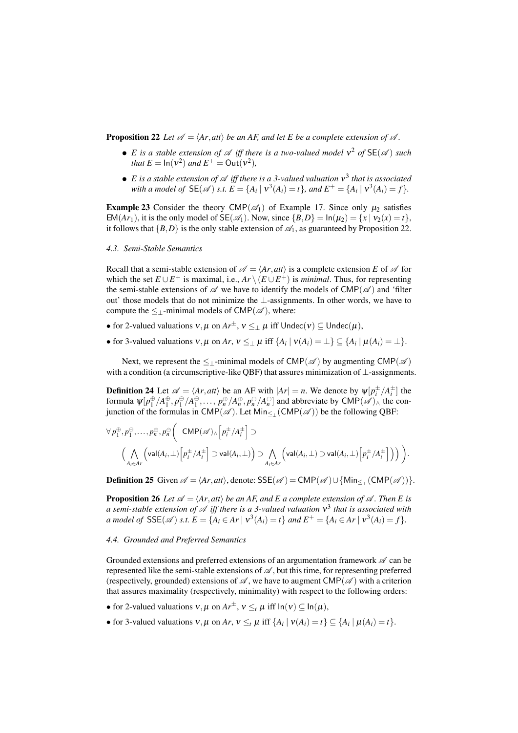**Proposition 22** *Let*  $\mathscr{A} = \langle Ar, att \rangle$  *be an AF, and let E be a complete extension of*  $\mathscr{A}$ *.* 

- *E* is a stable extension of  $\mathscr A$  iff there is a two-valued model  $v^2$  of  $SE(\mathscr A)$  such *that*  $E = \ln(v^2)$  *and*  $E^+ = \text{Out}(v^2)$ *,*
- *• E is a stable extension of A iff there is a 3-valued valuation* <sup>ν</sup> 3 *that is associated* with a model of  $\mathsf{SE}(\mathscr{A})$  s.t.  $E = \{A_i \mid v^3(A_i) = t\}$ , and  $E^+ = \{A_i \mid v^3(A_i) = f\}$ .

**Example 23** Consider the theory CMP( $\mathscr{A}_1$ ) of Example 17. Since only  $\mu_2$  satisfies EM(*Ar*<sub>1</sub>), it is the only model of SE( $\mathscr{A}_1$ ). Now, since  $\{B, D\} = \ln(\mu_2) = \{x \mid v_2(x) = t\}$ , it follows that  ${B, D}$  is the only stable extension of  $\mathcal{A}_1$ , as guaranteed by Proposition 22.

#### *4.3. Semi-Stable Semantics*

Recall that a semi-stable extension of  $\mathscr{A} = \langle Ar, att \rangle$  is a complete extension *E* of  $\mathscr{A}$  for which the set  $E \cup E^+$  is maximal, i.e.,  $Ar \setminus (E \cup E^+)$  is *minimal*. Thus, for representing the semi-stable extensions of  $\mathscr A$  we have to identify the models of CMP( $\mathscr A$ ) and 'filter out' those models that do not minimize the *⊥*-assignments. In other words, we have to compute the  $\leq$ <sub>1</sub>-minimal models of CMP( $\mathscr A$ ), where:

- for 2-valued valuations  $v, \mu$  on  $Ar^{\pm}$ ,  $v \leq_{\perp} \mu$  iff  $U$ ndec $(v) \subseteq U$ ndec $(\mu)$ ,
- for 3-valued valuations  $v, \mu$  on  $Ar, v \leq_{\perp} \mu$  iff  $\{A_i | v(A_i) = \perp\} \subseteq \{A_i | \mu(A_i) = \perp\}.$

Next, we represent the  $\leq$ <sub>⊥</sub>-minimal models of CMP( $\mathscr A$ ) by augmenting CMP( $\mathscr A$ ) with a condition (a circumscriptive-like QBF) that assures minimization of *⊥*-assignments.

**Definition 24** Let  $\mathscr{A} = \langle Ar, att \rangle$  be an AF with  $|Ar| = n$ . We denote by  $\psi[p_i^{\pm}/A_i^{\pm}]$  the formula  $\psi[p_1^{\oplus}/A_1^{\oplus}, p_1^{\ominus}/A_1^{\ominus}, \ldots, p_n^{\oplus}/A_n^{\oplus}, p_n^{\ominus}/A_n^{\ominus}]$  and abbreviate by  $\mathsf{CMP}(\mathscr{A})_\wedge$  the conjunction of the formulas in CMP(*A* ). Let Min*≤<sup>⊥</sup>* (CMP(*A* )) be the following QBF:

$$
\begin{array}{l} \forall\, p_1^{\oplus}, p_1^{\ominus}, \ldots, p_n^{\oplus}, p_n^{\ominus}\bigg(\quad \text{CMP}(\mathscr{A}) \wedge \Big[p_i^{\pm}/A_i^{\pm}\Big] \supset \\ \Big(\bigwedge\limits_{A_i \in A r} \Big(\text{val}(A_i, \bot)\Big[p_i^{\pm}/A_i^{\pm}\Big] \supset \text{val}(A_i, \bot)\Big) \supset \bigwedge\limits_{A_i \in A r} \Big(\text{val}(A_i, \bot) \supset \text{val}(A_i, \bot)\Big[p_i^{\pm}/A_i^{\pm}\Big]\Big)\Big)\ \Big) \, .\end{array}
$$

Definition 25 Given  $\mathscr{A} = \langle Ar, att \rangle$ , denote:  $SSE(\mathscr{A}) = CMP(\mathscr{A}) \cup \{Min_{\leq \perp}(CMP(\mathscr{A}))\}.$ 

**Proposition 26** *Let*  $\mathscr{A} = \langle Ar, att \rangle$  *be an AF, and E a complete extension of*  $\mathscr{A}$ *. Then E is a semi-stable extension of A iff there is a 3-valued valuation* <sup>ν</sup> 3 *that is associated with* a model of  $SSE(\mathscr{A})$  s.t.  $E = \{A_i \in Ar \mid v^3(A_i) = t\}$  and  $E^+ = \{A_i \in Ar \mid v^3(A_i) = f\}.$ 

#### *4.4. Grounded and Preferred Semantics*

Grounded extensions and preferred extensions of an argumentation framework *A* can be represented like the semi-stable extensions of  $\mathscr A$ , but this time, for representing preferred (respectively, grounded) extensions of  $\mathscr{A}$ , we have to augment CMP( $\mathscr{A}$ ) with a criterion that assures maximality (respectively, minimality) with respect to the following orders:

- for 2-valued valuations  $v, \mu$  on  $Ar^{\pm}$ ,  $v \leq_t \mu$  iff  $\ln(v) \subseteq \ln(\mu)$ ,
- for 3-valued valuations  $v, \mu$  on  $Ar, v \leq_t \mu$  iff  $\{A_i | v(A_i) = t\} \subseteq \{A_i | \mu(A_i) = t\}.$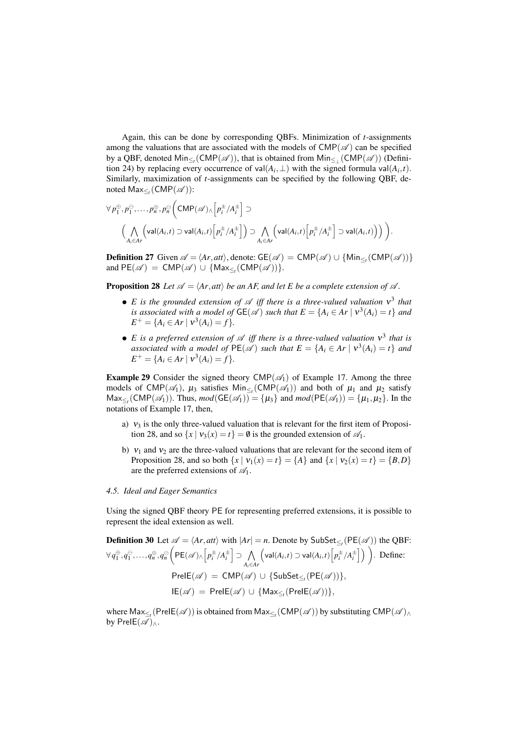Again, this can be done by corresponding QBFs. Minimization of *t*-assignments among the valuations that are associated with the models of  $CMP(\mathscr{A})$  can be specified by a QBF, denoted Min*≤<sup>t</sup>* (CMP(*A* )), that is obtained from Min*≤<sup>⊥</sup>* (CMP(*A* )) (Definition 24) by replacing every occurrence of val $(A_i, \perp)$  with the signed formula val $(A_i, t)$ . Similarly, maximization of *t*-assignments can be specified by the following QBF, denoted Max*≤<sup>t</sup>* (CMP(*A* )):

$$
\forall p_1^{\oplus}, p_1^{\ominus}, \dots, p_n^{\oplus}, p_n^{\ominus} \Big( \text{CMP}(\mathscr{A}) \wedge \Big[ p_i^{\pm}/A_i^{\pm} \Big] \supset
$$
  

$$
\Big( \bigwedge_{A_i \in A} \Big( \text{val}(A_i, t) \supset \text{val}(A_i, t) \Big[ p_i^{\pm}/A_i^{\pm} \Big] \Big) \supset \bigwedge_{A_i \in A} \Big( \text{val}(A_i, t) \Big[ p_i^{\pm}/A_i^{\pm} \Big] \supset \text{val}(A_i, t) \Big) \Big) \Big).
$$

Definition 27 Given  $\mathscr{A} = \langle Ar, att \rangle$ , denote:  $GE(\mathscr{A}) = CMP(\mathscr{A}) \cup \{Min_{\leq t}(CMP(\mathscr{A}))\}$ and  $PE(\mathscr{A}) = CMP(\mathscr{A}) \cup \{Max_{\leq t}(CMP(\mathscr{A}))\}.$ 

**Proposition 28** *Let*  $\mathscr{A} = \langle Ar, att \rangle$  *be an AF, and let E be a complete extension of*  $\mathscr{A}$ *.* 

- *• E is the grounded extension of A iff there is a three-valued valuation* <sup>ν</sup> 3 *that is associated with a model of*  $GE(\mathscr{A})$  *such that*  $E = \{A_i \in Ar \mid v^3(A_i) = t\}$  and  $E^+ = \{A_i \in Ar \mid v^3(A_i) = f\}.$
- **•** *E is a preferred extension of A iff there is a three-valued valuation*  $ν$ <sup>3</sup> *that is associated with a model of*  $PE(\mathscr{A})$  *such that*  $E = \{A_i \in Ar \mid v^3(A_i) = t\}$  *and*  $E^+ = \{A_i \in Ar \mid v^3(A_i) = f\}.$

**Example 29** Consider the signed theory  $CMP(\mathcal{A}_1)$  of Example 17. Among the three models of CMP( $\mathscr{A}_1$ ),  $\mu_3$  satisfies  $\text{Min}_{\leq t}(\text{CMP}(\mathscr{A}_1))$  and both of  $\mu_1$  and  $\mu_2$  satisfy  $\text{Max}_{\leq t}(\text{CMP}(\mathscr{A}_1))$ . Thus,  $mod(\text{GE}(\mathscr{A}_1)) = {\mu_3}$  and  $mod(\text{PE}(\mathscr{A}_1)) = {\mu_1, \mu_2}$ . In the notations of Example 17, then,

- a)  $v_3$  is the only three-valued valuation that is relevant for the first item of Proposition 28, and so  $\{x \mid v_3(x) = t\} = \emptyset$  is the grounded extension of  $\mathcal{A}_1$ .
- b)  $v_1$  and  $v_2$  are the three-valued valuations that are relevant for the second item of Proposition 28, and so both  $\{x \mid v_1(x) = t\} = \{A\}$  and  $\{x \mid v_2(x) = t\} = \{B, D\}$ are the preferred extensions of *A*1.

## *4.5. Ideal and Eager Semantics*

Using the signed QBF theory PE for representing preferred extensions, it is possible to represent the ideal extension as well.

**Definition 30** Let 
$$
\mathscr{A} = \langle Ar, att \rangle
$$
 with  $|Ar| = n$ . Denote by SubSet <sub>$\leq_i$</sub>  (PE( $\mathscr{A}$ )) the QBF:  
\n $\forall q_1^{\oplus}, q_1^{\ominus}, \ldots, q_n^{\oplus}, q_n^{\ominus} \Big( PE(\mathscr{A}) \wedge \Big[ p_i^{\pm}/A_i^{\pm} \Big] \supset \bigwedge_{A_i \in Ar} \Big( val(A_i, t) \supset val(A_i, t) \Big[ p_i^{\pm}/A_i^{\pm} \Big] \Big) \Big).$  Define:  
\n
$$
PrelE(\mathscr{A}) = CMP(\mathscr{A}) \cup \{ SubSet_{\leq_i} (PE(\mathscr{A})) \},
$$
\n
$$
lE(\mathscr{A}) = PrelE(\mathscr{A}) \cup \{ Max_{\leq_i} (PrelE(\mathscr{A})) \},
$$

where  $\mathsf{Max}_{\leq t}(\mathsf{PrelE}(\mathscr{A}))$  is obtained from  $\mathsf{Max}_{\leq t}(\mathsf{CMP}(\mathscr{A}))$  by substituting  $\mathsf{CMP}(\mathscr{A})_\wedge$ by PreIE $({\mathscr{A}})_{\wedge}$ .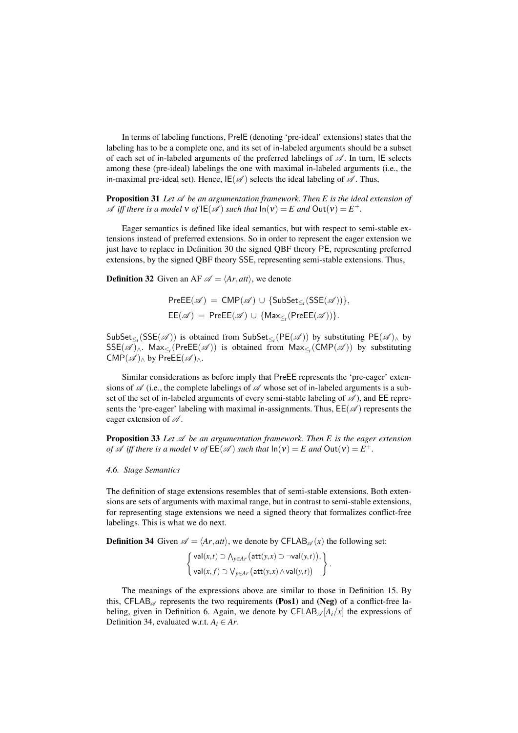In terms of labeling functions, PreIE (denoting 'pre-ideal' extensions) states that the labeling has to be a complete one, and its set of in-labeled arguments should be a subset of each set of in-labeled arguments of the preferred labelings of  $\mathscr A$ . In turn, IE selects among these (pre-ideal) labelings the one with maximal in-labeled arguments (i.e., the in-maximal pre-ideal set). Hence,  $IE(\mathscr{A})$  selects the ideal labeling of  $\mathscr{A}$ . Thus,

Proposition 31 *Let A be an argumentation framework. Then E is the ideal extension of A iff there is a model*  $\nu$  *of*  $\mathsf{IE}(\mathscr{A})$  *such that*  $\mathsf{In}(\nu) = E$  *and*  $\mathsf{Out}(\nu) = E^+$ *.* 

Eager semantics is defined like ideal semantics, but with respect to semi-stable extensions instead of preferred extensions. So in order to represent the eager extension we just have to replace in Definition 30 the signed QBF theory PE, representing preferred extensions, by the signed QBF theory SSE, representing semi-stable extensions. Thus,

**Definition 32** Given an AF  $\mathscr{A} = \langle Ar, att \rangle$ , we denote

$$
PreEE(\mathscr{A}) = \text{CMP}(\mathscr{A}) \cup \{\text{SubSet}_{\leq r}(\text{SSE}(\mathscr{A}))\},
$$
  
EE(\mathscr{A}) = PreEE(\mathscr{A}) \cup \{\text{Max}\_{\leq r}(\text{PreEE}(\mathscr{A}))\}.

SubSet<sub> $\leq$ </sub> (SSE( $\mathscr{A}$ )) is obtained from SubSet<sub> $\leq$ </sub> (PE( $\mathscr{A}$ )) by substituting PE( $\mathscr{A}$ ) $\wedge$  by SSE(*A* )*∧*. Max*≤<sup>t</sup>* (PreEE(*A* )) is obtained from Max*≤<sup>t</sup>* (CMP(*A* )) by substituting  $CMP(\mathscr{A})$ <sub>∧</sub> by PreEE( $\mathscr{A})$ <sub>∧</sub>.

Similar considerations as before imply that PreEE represents the 'pre-eager' extensions of  $\mathscr A$  (i.e., the complete labelings of  $\mathscr A$  whose set of in-labeled arguments is a subset of the set of in-labeled arguments of every semi-stable labeling of *A* ), and EE represents the 'pre-eager' labeling with maximal in-assignments. Thus,  $EE(\mathscr{A})$  represents the eager extension of *A* .

Proposition 33 *Let A be an argumentation framework. Then E is the eager extension of*  $\mathscr A$  *iff there is a model*  $\mathsf v$  *of*  $\mathsf{EE}(\mathscr A)$  *such that*  $\mathsf{In}(\mathsf v) = E$  *and*  $\mathsf{Out}(\mathsf v) = E^+$ *.* 

## *4.6. Stage Semantics*

The definition of stage extensions resembles that of semi-stable extensions. Both extensions are sets of arguments with maximal range, but in contrast to semi-stable extensions, for representing stage extensions we need a signed theory that formalizes conflict-free labelings. This is what we do next.

**Definition 34** Given  $\mathscr{A} = \langle Ar, att \rangle$ , we denote by CFLAB $\mathscr{A}(x)$  the following set:

$$
\begin{Bmatrix}\n\mathsf{val}(x,t) \supset \bigwedge_{y \in Ar} \big(\mathsf{att}(y,x) \supset \neg \mathsf{val}(y,t)\big), \\
\mathsf{val}(x,f) \supset \bigvee_{y \in Ar} \big(\mathsf{att}(y,x) \wedge \mathsf{val}(y,t)\big)\n\end{Bmatrix}.
$$

The meanings of the expressions above are similar to those in Definition 15. By this,  $CFLAB_{\mathscr{A}}$  represents the two requirements (Pos1) and (Neg) of a conflict-free labeling, given in Definition 6. Again, we denote by CFLAB<sub> $\mathscr{A}[A_i/x]$ </sub> the expressions of Definition 34, evaluated w.r.t.  $A_i \in Ar$ .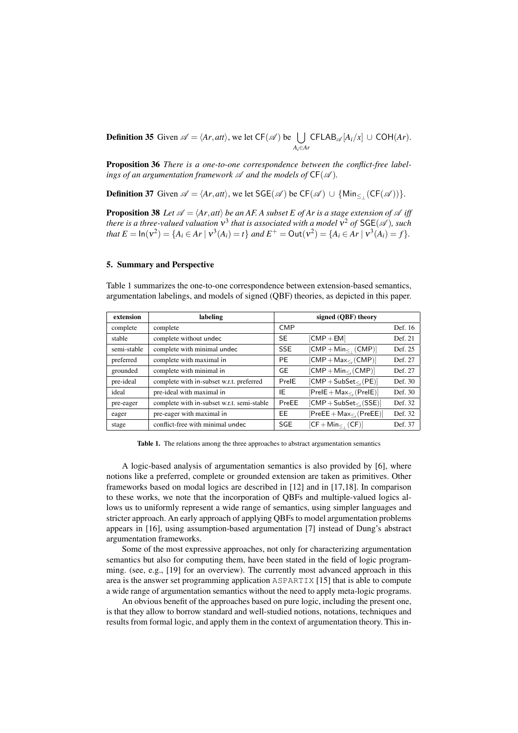**Definition 35** Given  $\mathscr{A} = \langle Ar, att \rangle$ , we let  $CF(\mathscr{A})$  be  $\bigcup$ *Ai∈Ar*  $CFLAB_{\mathscr{A}}[A_i/x] \cup COH(Ar).$ 

Proposition 36 *There is a one-to-one correspondence between the conflict-free labelings of an argumentation framework*  $\mathcal A$  *and the models of*  $CF(\mathcal A)$ *.* 

**Definition 37** Given  $\mathscr{A} = \langle Ar, att \rangle$ , we let  $\mathsf{SGE}(\mathscr{A})$  be  $\mathsf{CF}(\mathscr{A}) \cup \{ \mathsf{Min}_{\leq \perp}(\mathsf{CF}(\mathscr{A})) \}.$ 

**Proposition 38** *Let*  $\mathscr{A} = \langle Ar, att \rangle$  *be an AF. A subset E of Ar is a stage extension of*  $\mathscr{A}$  *iff there is a three-valued valuation*  $v^3$  *that is associated with a model*  $v^2$  *of*  $\mathsf{SGE}(\mathscr{A})$ *, such* that  $E = \ln(v^2) = \{A_i \in Ar \mid v^3(A_i) = t\}$  and  $E^+ = \text{Out}(v^2) = \{A_i \in Ar \mid v^3(A_i) = f\}.$ 

## 5. Summary and Perspective

Table 1 summarizes the one-to-one correspondence between extension-based semantics, argumentation labelings, and models of signed (QBF) theories, as depicted in this paper.

| extension   | labeling                                   | signed (QBF) theory |                                                  |         |  |  |  |
|-------------|--------------------------------------------|---------------------|--------------------------------------------------|---------|--|--|--|
| complete    | complete                                   | <b>CMP</b>          |                                                  | Def. 16 |  |  |  |
| stable      | complete without undec                     | SE                  | $[CMP + EM]$                                     | Def. 21 |  |  |  |
| semi-stable | complete with minimal undec                | <b>SSE</b>          | $[CMP + Min1 (CMP)]$                             | Def. 25 |  |  |  |
| preferred   | complete with maximal in                   | PE                  | $[{\sf CMP} + {\sf Max}_{\leq}$ , $({\sf CMP})]$ | Def. 27 |  |  |  |
| grounded    | complete with minimal in                   | GE                  | $[CMP + Min_{\leq r} (CMP)]$                     | Def. 27 |  |  |  |
| pre-ideal   | complete with in-subset w.r.t. preferred   | PrelE               | $[CMP + SubSet_{\leq} (PE)]$                     | Def. 30 |  |  |  |
| ideal       | pre-ideal with maximal in                  | ΙE                  | $[PreIE + Max_{\leq r}(PreIE)]$                  | Def. 30 |  |  |  |
| pre-eager   | complete with in-subset w.r.t. semi-stable | PreEE               | $[CMP + SubSet_{\leq r} (SSE)]$                  | Def. 32 |  |  |  |
| eager       | pre-eager with maximal in                  | EЕ                  | $[PreEE + Max_{\leq r} (PreEE)]$                 | Def. 32 |  |  |  |
| stage       | conflict-free with minimal undec           | <b>SGE</b>          | $[CF + Min_{\leq} (CF)]$                         | Def. 37 |  |  |  |

Table 1. The relations among the three approaches to abstract argumentation semantics

A logic-based analysis of argumentation semantics is also provided by [6], where notions like a preferred, complete or grounded extension are taken as primitives. Other frameworks based on modal logics are described in [12] and in [17,18]. In comparison to these works, we note that the incorporation of QBFs and multiple-valued logics allows us to uniformly represent a wide range of semantics, using simpler languages and stricter approach. An early approach of applying QBFs to model argumentation problems appears in [16], using assumption-based argumentation [7] instead of Dung's abstract argumentation frameworks.

Some of the most expressive approaches, not only for characterizing argumentation semantics but also for computing them, have been stated in the field of logic programming. (see, e.g., [19] for an overview). The currently most advanced approach in this area is the answer set programming application ASPARTIX [15] that is able to compute a wide range of argumentation semantics without the need to apply meta-logic programs.

An obvious benefit of the approaches based on pure logic, including the present one, is that they allow to borrow standard and well-studied notions, notations, techniques and results from formal logic, and apply them in the context of argumentation theory. This in-